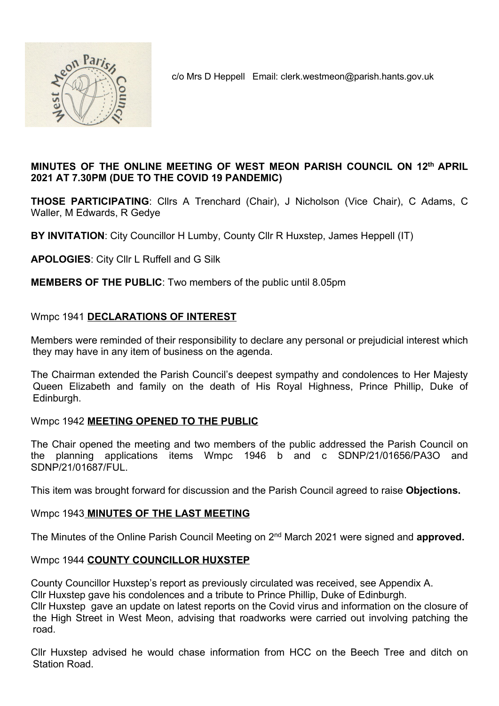

c/o Mrs D Heppell Email: clerk.westmeon@parish.hants.gov.uk

### MINUTES OF THE ONLINE MEETING OF WEST MEON PARISH COUNCIL ON 12th APRIL 2021 AT 7.30PM (DUE TO THE COVID 19 PANDEMIC)

THOSE PARTICIPATING: Cllrs A Trenchard (Chair), J Nicholson (Vice Chair), C Adams, C Waller, M Edwards, R Gedye

BY INVITATION: City Councillor H Lumby, County Cllr R Huxstep, James Heppell (IT)

APOLOGIES: City Cllr L Ruffell and G Silk

MEMBERS OF THE PUBLIC: Two members of the public until 8.05pm

### Wmpc 1941 DECLARATIONS OF INTEREST

Members were reminded of their responsibility to declare any personal or prejudicial interest which they may have in any item of business on the agenda.

The Chairman extended the Parish Council's deepest sympathy and condolences to Her Majesty Queen Elizabeth and family on the death of His Royal Highness, Prince Phillip, Duke of Edinburgh.

### Wmpc 1942 MEETING OPENED TO THE PUBLIC

The Chair opened the meeting and two members of the public addressed the Parish Council on the planning applications items Wmpc 1946 b and c SDNP/21/01656/PA3O and SDNP/21/01687/FUL.

This item was brought forward for discussion and the Parish Council agreed to raise Objections.

### Wmpc 1943 MINUTES OF THE LAST MEETING

The Minutes of the Online Parish Council Meeting on 2<sup>nd</sup> March 2021 were signed and **approved.** 

### Wmpc 1944 COUNTY COUNCILLOR HUXSTEP

County Councillor Huxstep's report as previously circulated was received, see Appendix A. Cllr Huxstep gave his condolences and a tribute to Prince Phillip, Duke of Edinburgh.

Cllr Huxstep gave an update on latest reports on the Covid virus and information on the closure of the High Street in West Meon, advising that roadworks were carried out involving patching the road.

Cllr Huxstep advised he would chase information from HCC on the Beech Tree and ditch on Station Road.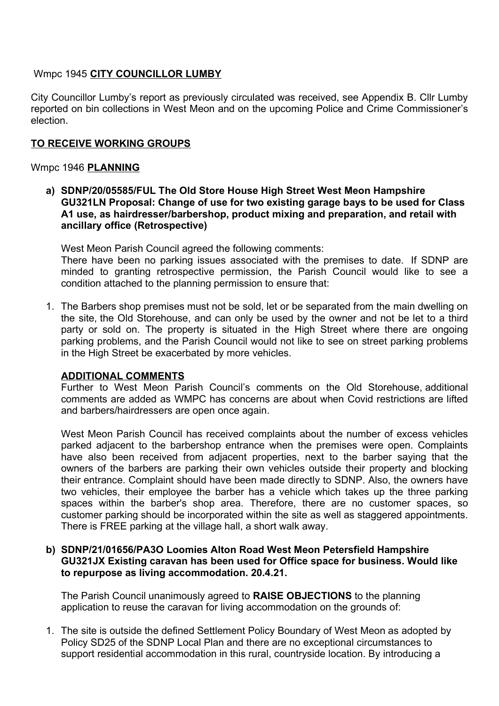### Wmpc 1945 CITY COUNCILLOR LUMBY

City Councillor Lumby's report as previously circulated was received, see Appendix B. Cllr Lumby reported on bin collections in West Meon and on the upcoming Police and Crime Commissioner's election.

### TO RECEIVE WORKING GROUPS

### Wmpc 1946 PLANNING

a) SDNP/20/05585/FUL The Old Store House High Street West Meon Hampshire GU321LN Proposal: Change of use for two existing garage bays to be used for Class A1 use, as hairdresser/barbershop, product mixing and preparation, and retail with ancillary office (Retrospective)

West Meon Parish Council agreed the following comments:

There have been no parking issues associated with the premises to date. If SDNP are minded to granting retrospective permission, the Parish Council would like to see a condition attached to the planning permission to ensure that:

1. The Barbers shop premises must not be sold, let or be separated from the main dwelling on the site, the Old Storehouse, and can only be used by the owner and not be let to a third party or sold on. The property is situated in the High Street where there are ongoing parking problems, and the Parish Council would not like to see on street parking problems in the High Street be exacerbated by more vehicles.

#### ADDITIONAL COMMENTS

Further to West Meon Parish Council's comments on the Old Storehouse, additional comments are added as WMPC has concerns are about when Covid restrictions are lifted and barbers/hairdressers are open once again.

West Meon Parish Council has received complaints about the number of excess vehicles parked adjacent to the barbershop entrance when the premises were open. Complaints have also been received from adjacent properties, next to the barber saying that the owners of the barbers are parking their own vehicles outside their property and blocking their entrance. Complaint should have been made directly to SDNP. Also, the owners have two vehicles, their employee the barber has a vehicle which takes up the three parking spaces within the barber's shop area. Therefore, there are no customer spaces, so customer parking should be incorporated within the site as well as staggered appointments. There is FREE parking at the village hall, a short walk away.

#### b) SDNP/21/01656/PA3O Loomies Alton Road West Meon Petersfield Hampshire GU321JX Existing caravan has been used for Office space for business. Would like to repurpose as living accommodation. 20.4.21.

The Parish Council unanimously agreed to RAISE OBJECTIONS to the planning application to reuse the caravan for living accommodation on the grounds of:

1. The site is outside the defined Settlement Policy Boundary of West Meon as adopted by Policy SD25 of the SDNP Local Plan and there are no exceptional circumstances to support residential accommodation in this rural, countryside location. By introducing a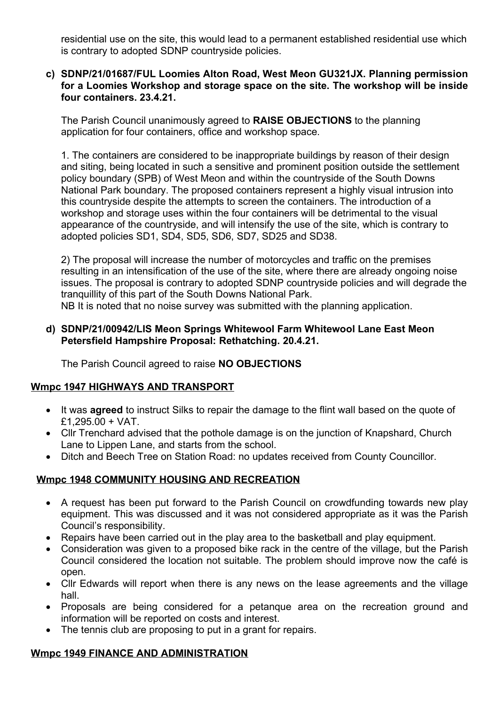residential use on the site, this would lead to a permanent established residential use which is contrary to adopted SDNP countryside policies.

### c) SDNP/21/01687/FUL Loomies Alton Road, West Meon GU321JX. Planning permission for a Loomies Workshop and storage space on the site. The workshop will be inside four containers. 23.4.21.

The Parish Council unanimously agreed to RAISE OBJECTIONS to the planning application for four containers, office and workshop space.

1. The containers are considered to be inappropriate buildings by reason of their design and siting, being located in such a sensitive and prominent position outside the settlement policy boundary (SPB) of West Meon and within the countryside of the South Downs National Park boundary. The proposed containers represent a highly visual intrusion into this countryside despite the attempts to screen the containers. The introduction of a workshop and storage uses within the four containers will be detrimental to the visual appearance of the countryside, and will intensify the use of the site, which is contrary to adopted policies SD1, SD4, SD5, SD6, SD7, SD25 and SD38.

2) The proposal will increase the number of motorcycles and traffic on the premises resulting in an intensification of the use of the site, where there are already ongoing noise issues. The proposal is contrary to adopted SDNP countryside policies and will degrade the tranquillity of this part of the South Downs National Park.

NB It is noted that no noise survey was submitted with the planning application.

### d) SDNP/21/00942/LIS Meon Springs Whitewool Farm Whitewool Lane East Meon Petersfield Hampshire Proposal: Rethatching. 20.4.21.

The Parish Council agreed to raise NO OBJECTIONS

## Wmpc 1947 HIGHWAYS AND TRANSPORT

- It was **agreed** to instruct Silks to repair the damage to the flint wall based on the quote of £1,295.00 + VAT.
- Cllr Trenchard advised that the pothole damage is on the junction of Knapshard, Church Lane to Lippen Lane, and starts from the school.
- Ditch and Beech Tree on Station Road: no updates received from County Councillor.

## Wmpc 1948 COMMUNITY HOUSING AND RECREATION

- A request has been put forward to the Parish Council on crowdfunding towards new play equipment. This was discussed and it was not considered appropriate as it was the Parish Council's responsibility.
- Repairs have been carried out in the play area to the basketball and play equipment.
- Consideration was given to a proposed bike rack in the centre of the village, but the Parish Council considered the location not suitable. The problem should improve now the café is open.
- Cllr Edwards will report when there is any news on the lease agreements and the village hall.
- Proposals are being considered for a petanque area on the recreation ground and information will be reported on costs and interest.
- The tennis club are proposing to put in a grant for repairs.

# Wmpc 1949 FINANCE AND ADMINISTRATION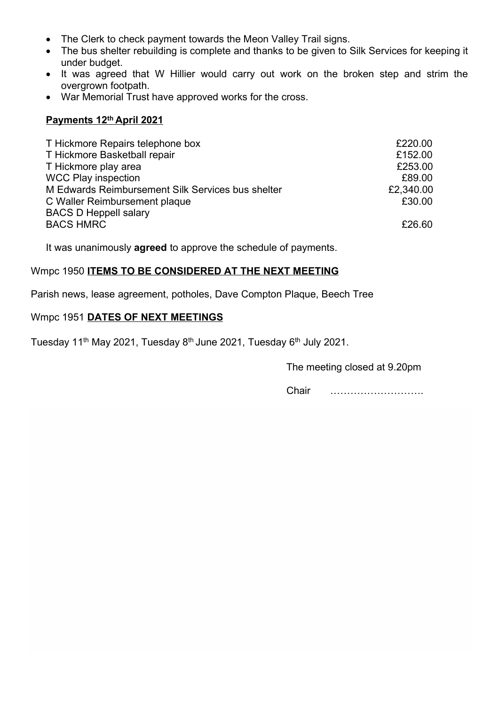- The Clerk to check payment towards the Meon Valley Trail signs.
- The bus shelter rebuilding is complete and thanks to be given to Silk Services for keeping it under budget.
- It was agreed that W Hillier would carry out work on the broken step and strim the overgrown footpath.
- War Memorial Trust have approved works for the cross.

### Payments 12th April 2021

| T Hickmore Repairs telephone box                  | £220.00   |
|---------------------------------------------------|-----------|
| T Hickmore Basketball repair                      | £152.00   |
| T Hickmore play area                              | £253.00   |
| <b>WCC Play inspection</b>                        | £89.00    |
| M Edwards Reimbursement Silk Services bus shelter | £2,340.00 |
| C Waller Reimbursement plaque                     | £30.00    |
| <b>BACS D Heppell salary</b>                      |           |
| <b>BACS HMRC</b>                                  | £26.60    |

It was unanimously **agreed** to approve the schedule of payments.

## Wmpc 1950 ITEMS TO BE CONSIDERED AT THE NEXT MEETING

Parish news, lease agreement, potholes, Dave Compton Plaque, Beech Tree

## Wmpc 1951 DATES OF NEXT MEETINGS

Tuesday 11<sup>th</sup> May 2021, Tuesday 8<sup>th</sup> June 2021, Tuesday 6<sup>th</sup> July 2021.

The meeting closed at 9.20pm

Chair ……………………….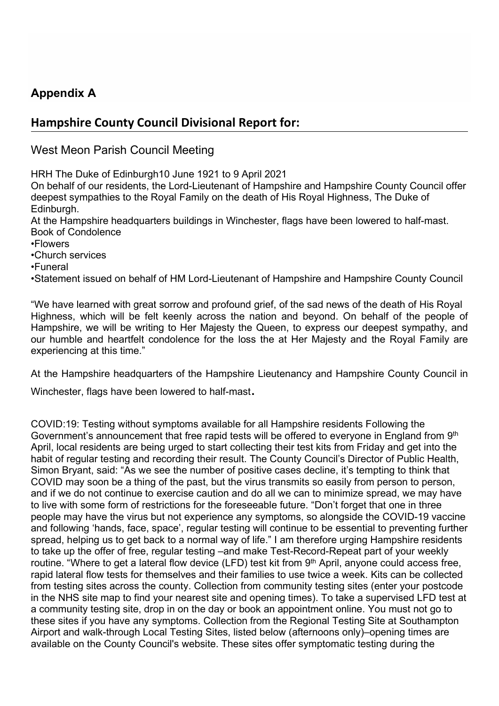# Appendix A

# Hampshire County Council Divisional Report for:

West Meon Parish Council Meeting

HRH The Duke of Edinburgh10 June 1921 to 9 April 2021

On behalf of our residents, the Lord-Lieutenant of Hampshire and Hampshire County Council offer deepest sympathies to the Royal Family on the death of His Royal Highness, The Duke of Edinburgh.

At the Hampshire headquarters buildings in Winchester, flags have been lowered to half-mast. Book of Condolence

- •Flowers
- •Church services
- •Funeral

•Statement issued on behalf of HM Lord-Lieutenant of Hampshire and Hampshire County Council

"We have learned with great sorrow and profound grief, of the sad news of the death of His Royal Highness, which will be felt keenly across the nation and beyond. On behalf of the people of Hampshire, we will be writing to Her Majesty the Queen, to express our deepest sympathy, and our humble and heartfelt condolence for the loss the at Her Majesty and the Royal Family are experiencing at this time."

At the Hampshire headquarters of the Hampshire Lieutenancy and Hampshire County Council in

Winchester, flags have been lowered to half-mast.

COVID:19: Testing without symptoms available for all Hampshire residents Following the Government's announcement that free rapid tests will be offered to everyone in England from 9<sup>th</sup> April, local residents are being urged to start collecting their test kits from Friday and get into the habit of regular testing and recording their result. The County Council's Director of Public Health, Simon Bryant, said: "As we see the number of positive cases decline, it's tempting to think that COVID may soon be a thing of the past, but the virus transmits so easily from person to person, and if we do not continue to exercise caution and do all we can to minimize spread, we may have to live with some form of restrictions for the foreseeable future. "Don't forget that one in three people may have the virus but not experience any symptoms, so alongside the COVID-19 vaccine and following 'hands, face, space', regular testing will continue to be essential to preventing further spread, helping us to get back to a normal way of life." I am therefore urging Hampshire residents to take up the offer of free, regular testing –and make Test-Record-Repeat part of your weekly routine. "Where to get a lateral flow device (LFD) test kit from 9<sup>th</sup> April, anyone could access free, rapid lateral flow tests for themselves and their families to use twice a week. Kits can be collected from testing sites across the county. Collection from community testing sites (enter your postcode in the NHS site map to find your nearest site and opening times). To take a supervised LFD test at a community testing site, drop in on the day or book an appointment online. You must not go to these sites if you have any symptoms. Collection from the Regional Testing Site at Southampton Airport and walk-through Local Testing Sites, listed below (afternoons only)–opening times are available on the County Council's website. These sites offer symptomatic testing during the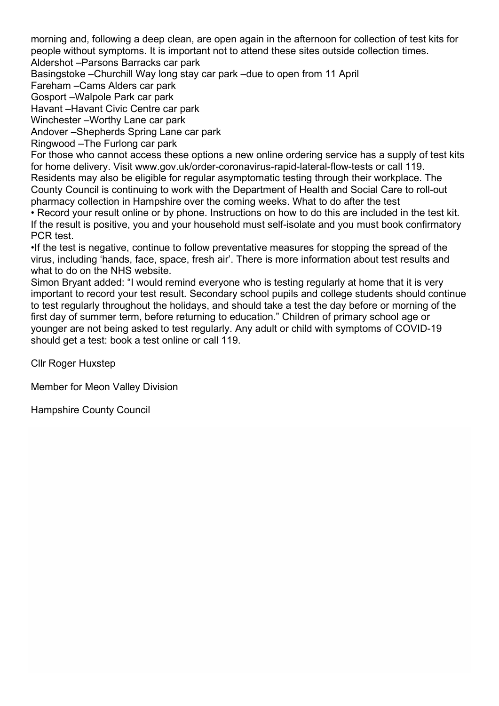morning and, following a deep clean, are open again in the afternoon for collection of test kits for people without symptoms. It is important not to attend these sites outside collection times.

Aldershot –Parsons Barracks car park

Basingstoke –Churchill Way long stay car park –due to open from 11 April

Fareham –Cams Alders car park

Gosport –Walpole Park car park

Havant –Havant Civic Centre car park

Winchester –Worthy Lane car park

Andover –Shepherds Spring Lane car park

Ringwood –The Furlong car park

For those who cannot access these options a new online ordering service has a supply of test kits for home delivery. Visit www.gov.uk/order-coronavirus-rapid-lateral-flow-tests or call 119. Residents may also be eligible for regular asymptomatic testing through their workplace. The County Council is continuing to work with the Department of Health and Social Care to roll-out pharmacy collection in Hampshire over the coming weeks. What to do after the test

• Record your result online or by phone. Instructions on how to do this are included in the test kit. If the result is positive, you and your household must self-isolate and you must book confirmatory PCR test.

•If the test is negative, continue to follow preventative measures for stopping the spread of the virus, including 'hands, face, space, fresh air'. There is more information about test results and what to do on the NHS website.

Simon Bryant added: "I would remind everyone who is testing regularly at home that it is very important to record your test result. Secondary school pupils and college students should continue to test regularly throughout the holidays, and should take a test the day before or morning of the first day of summer term, before returning to education." Children of primary school age or younger are not being asked to test regularly. Any adult or child with symptoms of COVID-19 should get a test: book a test online or call 119.

Cllr Roger Huxstep

Member for Meon Valley Division

Hampshire County Council